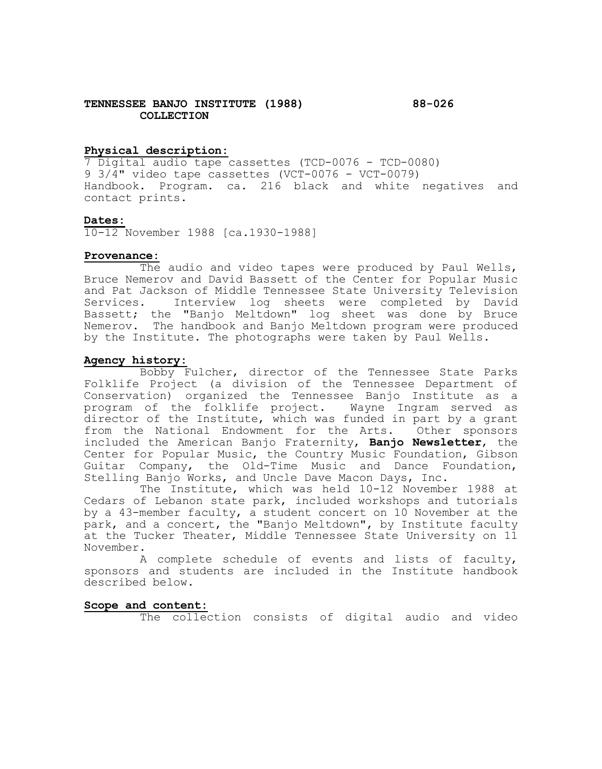## **TENNESSEE BANJO INSTITUTE (1988) 88-026 COLLECTION**

# **Physical description:**

7 Digital audio tape cassettes (TCD-0076 - TCD-0080) 9 3/4" video tape cassettes (VCT-0076 - VCT-0079) Handbook. Program. ca. 216 black and white negatives and contact prints.

# **Dates:**

10-12 November 1988 [ca.1930-1988]

# **Provenance:**

The audio and video tapes were produced by Paul Wells, Bruce Nemerov and David Bassett of the Center for Popular Music and Pat Jackson of Middle Tennessee State University Television<br>Services. Interview log sheets were completed by David Interview log sheets were completed by David Bassett; the "Banjo Meltdown" log sheet was done by Bruce Nemerov. The handbook and Banjo Meltdown program were produced by the Institute. The photographs were taken by Paul Wells.

# **Agency history:**

Bobby Fulcher, director of the Tennessee State Parks Folklife Project (a division of the Tennessee Department of Conservation) organized the Tennessee Banjo Institute as a program of the folklife project. Wayne Ingram served as director of the Institute, which was funded in part by a grant from the National Endowment for the Arts. Other sponsors included the American Banjo Fraternity, **Banjo Newsletter**, the Center for Popular Music, the Country Music Foundation, Gibson Guitar Company, the Old-Time Music and Dance Foundation, Stelling Banjo Works, and Uncle Dave Macon Days, Inc.

The Institute, which was held 10-12 November 1988 at Cedars of Lebanon state park, included workshops and tutorials by a 43-member faculty, a student concert on 10 November at the park, and a concert, the "Banjo Meltdown", by Institute faculty at the Tucker Theater, Middle Tennessee State University on 11 November.

A complete schedule of events and lists of faculty, sponsors and students are included in the Institute handbook described below.

# **Scope and content:**

The collection consists of digital audio and video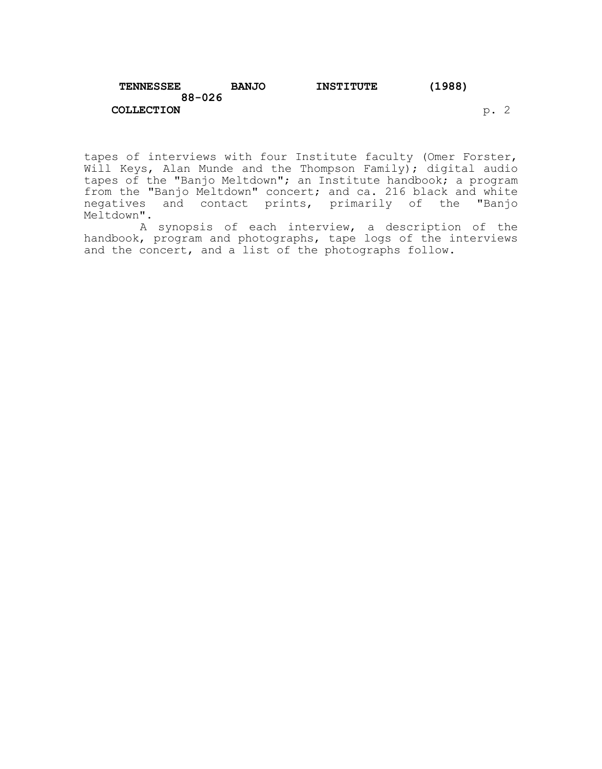| <b>TENNESSEE</b>  | <b>BANJO</b> | <b>INSTITUTE</b> | (1988) |  |
|-------------------|--------------|------------------|--------|--|
| $88 - 026$        |              |                  |        |  |
| <b>COLLECTION</b> |              |                  |        |  |

tapes of interviews with four Institute faculty (Omer Forster, Will Keys, Alan Munde and the Thompson Family); digital audio tapes of the "Banjo Meltdown"; an Institute handbook; a program from the "Banjo Meltdown" concert; and ca. 216 black and white negatives and contact prints, primarily of the "Banjo Meltdown".

A synopsis of each interview, a description of the handbook, program and photographs, tape logs of the interviews and the concert, and a list of the photographs follow.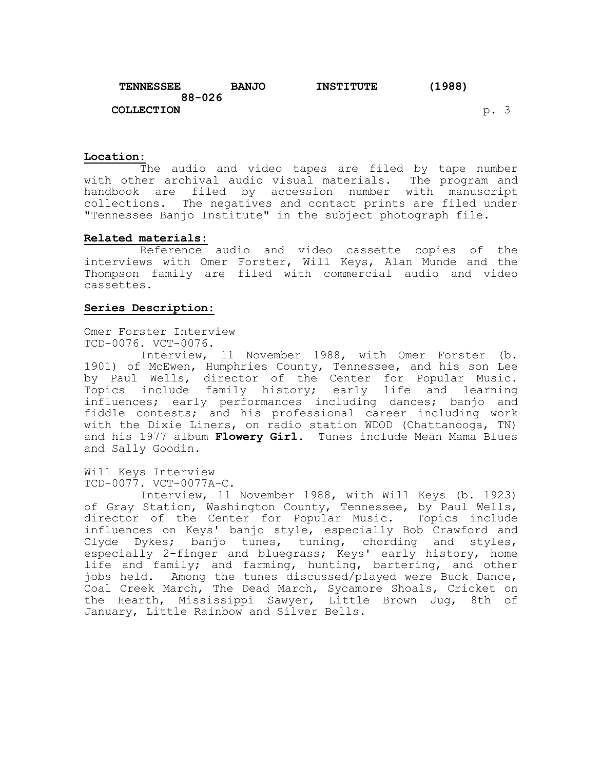| TENNESSEE         | <b>BANJO</b> | <b>INSTITUTE</b> | (1988) |      |  |
|-------------------|--------------|------------------|--------|------|--|
| $88 - 026$        |              |                  |        |      |  |
| <b>COLLECTION</b> |              |                  |        | p. 3 |  |

#### **Location:**

The audio and video tapes are filed by tape number with other archival audio visual materials. The program and handbook are filed by accession number with manuscript collections. The negatives and contact prints are filed under "Tennessee Banjo Institute" in the subject photograph file.

## **Related materials:**

Reference audio and video cassette copies of the interviews with Omer Forster, Will Keys, Alan Munde and the Thompson family are filed with commercial audio and video cassettes.

## **Series Description:**

Omer Forster Interview TCD-0076. VCT-0076.

Interview, 11 November 1988, with Omer Forster (b. 1901) of McEwen, Humphries County, Tennessee, and his son Lee by Paul Wells, director of the Center for Popular Music. Topics include family history; early life and learning influences; early performances including dances; banjo and fiddle contests; and his professional career including work with the Dixie Liners, on radio station WDOD (Chattanooga, TN) and his 1977 album **Flowery Girl**. Tunes include Mean Mama Blues and Sally Goodin.

Will Keys Interview TCD-0077. VCT-0077A-C.

Interview, 11 November 1988, with Will Keys (b. 1923) of Gray Station, Washington County, Tennessee, by Paul Wells, director of the Center for Popular Music. Topics include influences on Keys' banjo style, especially Bob Crawford and Clyde Dykes; banjo tunes, tuning, chording and styles, especially 2-finger and bluegrass; Keys' early history, home life and family; and farming, hunting, bartering, and other jobs held. Among the tunes discussed/played were Buck Dance, Coal Creek March, The Dead March, Sycamore Shoals, Cricket on the Hearth, Mississippi Sawyer, Little Brown Jug, 8th of January, Little Rainbow and Silver Bells.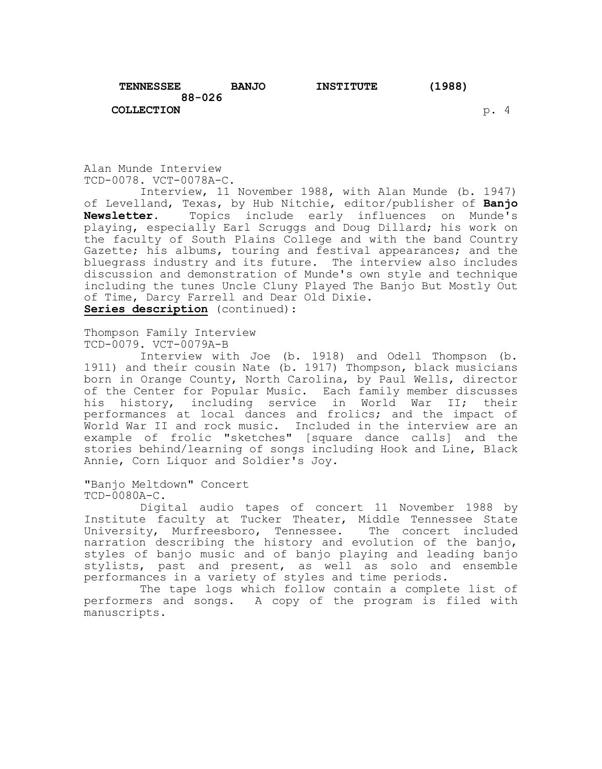**COLLECTION** p. 4

Alan Munde Interview TCD-0078. VCT-0078A-C.

Interview, 11 November 1988, with Alan Munde (b. 1947) of Levelland, Texas, by Hub Nitchie, editor/publisher of **Banjo**  Topics include early influences on Munde's playing, especially Earl Scruggs and Doug Dillard; his work on the faculty of South Plains College and with the band Country Gazette; his albums, touring and festival appearances; and the bluegrass industry and its future. The interview also includes discussion and demonstration of Munde's own style and technique including the tunes Uncle Cluny Played The Banjo But Mostly Out of Time, Darcy Farrell and Dear Old Dixie. **Series description** (continued):

Thompson Family Interview TCD-0079. VCT-0079A-B

Interview with Joe (b. 1918) and Odell Thompson (b. 1911) and their cousin Nate (b. 1917) Thompson, black musicians born in Orange County, North Carolina, by Paul Wells, director of the Center for Popular Music. Each family member discusses his history, including service in World War II; their performances at local dances and frolics; and the impact of World War II and rock music. Included in the interview are an example of frolic "sketches" [square dance calls] and the stories behind/learning of songs including Hook and Line, Black Annie, Corn Liquor and Soldier's Joy.

"Banjo Meltdown" Concert TCD-0080A-C.

Digital audio tapes of concert 11 November 1988 by Institute faculty at Tucker Theater, Middle Tennessee State University, Murfreesboro, Tennessee. The concert included narration describing the history and evolution of the banjo, styles of banjo music and of banjo playing and leading banjo stylists, past and present, as well as solo and ensemble performances in a variety of styles and time periods.

The tape logs which follow contain a complete list of performers and songs. A copy of the program is filed with manuscripts.